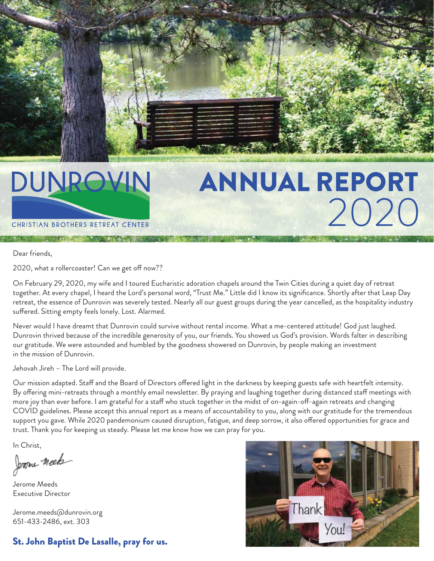# DUNROVIN

CHRISTIAN BROTHERS RETREAT CENTER

# ANNUAL REPORT 2020

Dear friends,

2020, what a rollercoaster! Can we get off now??

On February 29, 2020, my wife and I toured Eucharistic adoration chapels around the Twin Cities during a quiet day of retreat together. At every chapel, I heard the Lord's personal word, "Trust Me." Little did I know its significance. Shortly after that Leap Day retreat, the essence of Dunrovin was severely tested. Nearly all our guest groups during the year cancelled, as the hospitality industry suffered. Sitting empty feels lonely. Lost. Alarmed.

Never would I have dreamt that Dunrovin could survive without rental income. What a me-centered attitude! God just laughed. Dunrovin thrived because of the incredible generosity of you, our friends. You showed us God's provision. Words falter in describing our gratitude. We were astounded and humbled by the goodness showered on Dunrovin, by people making an investment in the mission of Dunrovin.

Jehovah Jireh – The Lord will provide.

Our mission adapted. Staff and the Board of Directors offered light in the darkness by keeping guests safe with heartfelt intensity. By offering mini-retreats through a monthly email newsletter. By praying and laughing together during distanced staff meetings with more joy than ever before. I am grateful for a staff who stuck together in the midst of on-again-off-again retreats and changing COVID guidelines. Please accept this annual report as a means of accountability to you, along with our gratitude for the tremendous support you gave. While 2020 pandemonium caused disruption, fatigue, and deep sorrow, it also offered opportunities for grace and trust. Thank you for keeping us steady. Please let me know how we can pray for you.

In Christ,

Jerome meet

Jerome Meeds Executive Director

Jerome.meeds@dunrovin.org 651-433-2486, ext. 303

#### St. John Baptist De Lasalle, pray for us.

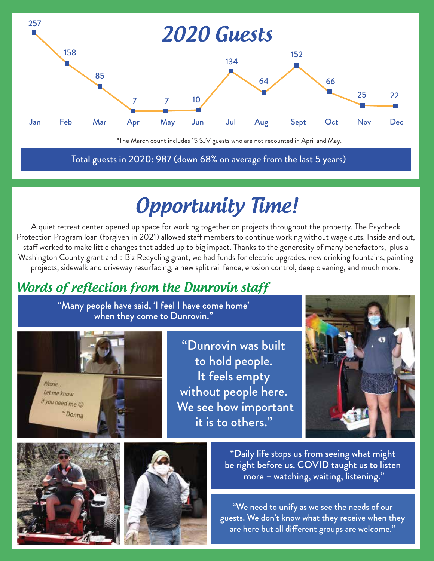

\*The March count includes 15 SJV guests who are not recounted in April and May.

Total guests in 2020: 987 (down 68% on average from the last 5 years)

# **Opportunity Time!**

A quiet retreat center opened up space for working together on projects throughout the property. The Paycheck Protection Program loan (forgiven in 2021) allowed staff members to continue working without wage cuts. Inside and out, staff worked to make little changes that added up to big impact. Thanks to the generosity of many benefactors, plus a Washington County grant and a Biz Recycling grant, we had funds for electric upgrades, new drinking fountains, painting projects, sidewalk and driveway resurfacing, a new split rail fence, erosion control, deep cleaning, and much more.

### Words of reflection from the Dunrovin staff

"Many people have said, 'I feel I have come home' when they come to Dunrovin."



"Dunrovin was built to hold people. It feels empty without people here. We see how important it is to others."







"Daily life stops us from seeing what might be right before us. COVID taught us to listen more – watching, waiting, listening."

"We need to unify as we see the needs of our guests. We don't know what they receive when they are here but all different groups are welcome."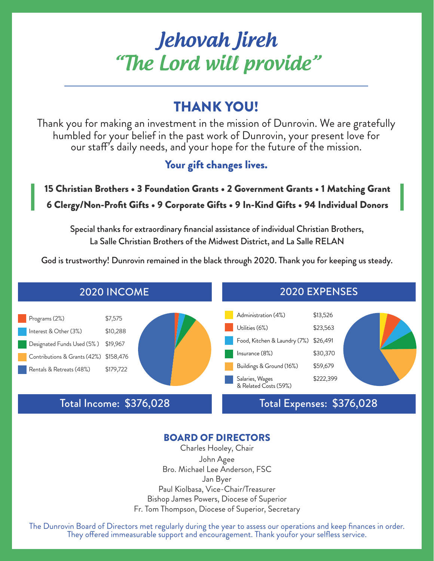### Jehovah Jireh "The Lord will provide"

### THANK YOU!

Thank you for making an investment in the mission of Dunrovin. We are gratefully humbled for your belief in the past work of Dunrovin, your present love for our staff's daily needs, and your hope for the future of the mission.

Your gift changes lives.

#### 15 Christian Brothers • 3 Foundation Grants • 2 Government Grants • 1 Matching Grant 6 Clergy/Non-Profit Gifts • 9 Corporate Gifts • 9 In-Kind Gifts • 94 Individual Donors

Special thanks for extraordinary financial assistance of individual Christian Brothers, La Salle Christian Brothers of the Midwest District, and La Salle RELAN

God is trustworthy! Dunrovin remained in the black through 2020. Thank you for keeping us steady.



#### BOARD OF DIRECTORS

Charles Hooley, Chair John Agee Bro. Michael Lee Anderson, FSC Jan Byer Paul Kiolbasa, Vice-Chair/Treasurer Bishop James Powers, Diocese of Superior Fr. Tom Thompson, Diocese of Superior, Secretary

The Dunrovin Board of Directors met regularly during the year to assess our operations and keep finances in order. They offered immeasurable support and encouragement. Thank youfor your selfless service.